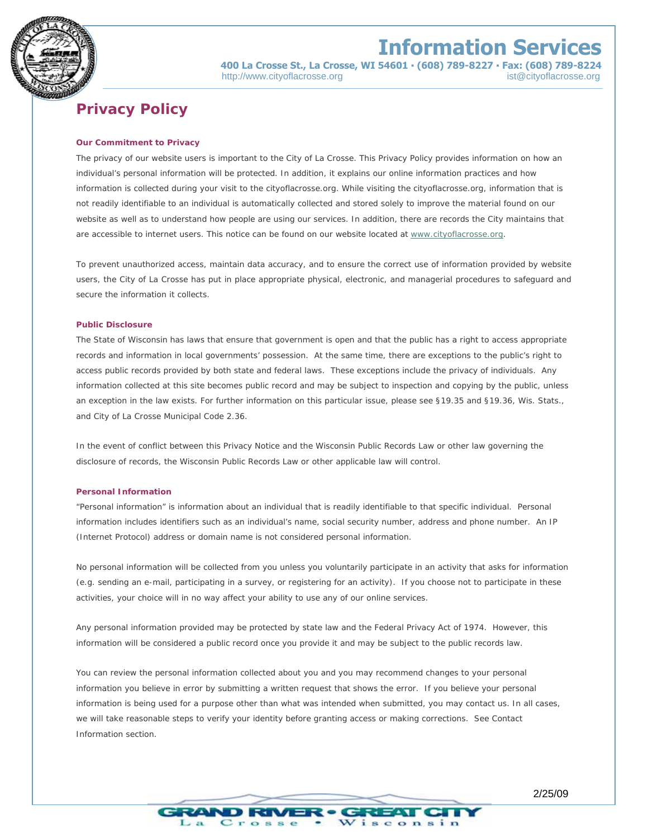

## **Information Services**

 **400 La Crosse St., La Crosse, WI 54601 ▪ (608) 789-8227 ▪ Fax: (608) 789-8224**  http://www.cityoflacrosse.org ist@cityoflacrosse.org ist@cityoflacrosse.org

### **Privacy Policy**

#### **Our Commitment to Privacy**

The privacy of our website users is important to the City of La Crosse. This Privacy Policy provides information on how an individual's personal information will be protected. In addition, it explains our online information practices and how information is collected during your visit to the cityoflacrosse.org. While visiting the cityoflacrosse.org, information that is not readily identifiable to an individual is automatically collected and stored solely to improve the material found on our website as well as to understand how people are using our services. In addition, there are records the City maintains that are accessible to internet users. This notice can be found on our website located at [www.cityoflacrosse.org.](http://www.cityoflacrosse.org/)

To prevent unauthorized access, maintain data accuracy, and to ensure the correct use of information provided by website users, the City of La Crosse has put in place appropriate physical, electronic, and managerial procedures to safeguard and secure the information it collects.

#### **Public Disclosure**

The State of Wisconsin has laws that ensure that government is open and that the public has a right to access appropriate records and information in local governments' possession. At the same time, there are exceptions to the public's right to access public records provided by both state and federal laws. These exceptions include the privacy of individuals. Any information collected at this site becomes public record and may be subject to inspection and copying by the public, unless an exception in the law exists. For further information on this particular issue, please see §19.35 and §19.36, Wis. Stats., and City of La Crosse Municipal Code 2.36.

In the event of conflict between this Privacy Notice and the Wisconsin Public Records Law or other law governing the disclosure of records, the Wisconsin Public Records Law or other applicable law will control.

#### **Personal Information**

"Personal information" is information about an individual that is readily identifiable to that specific individual. Personal information includes identifiers such as an individual's name, social security number, address and phone number. An IP (Internet Protocol) address or domain name is not considered personal information.

No personal information will be collected from you unless you voluntarily participate in an activity that asks for information (e.g. sending an e-mail, participating in a survey, or registering for an activity). If you choose not to participate in these activities, your choice will in no way affect your ability to use any of our online services.

Any personal information provided may be protected by state law and the Federal Privacy Act of 1974. However, this information will be considered a public record once you provide it and may be subject to the public records law.

You can review the personal information collected about you and you may recommend changes to your personal information you believe in error by submitting a written request that shows the error. If you believe your personal information is being used for a purpose other than what was intended when submitted, you may contact us. In all cases, we will take reasonable steps to verify your identity before granting access or making corrections. See Contact Information section.

/1-R • C

Crosse

ਤਰਵਾਸ

isconsin

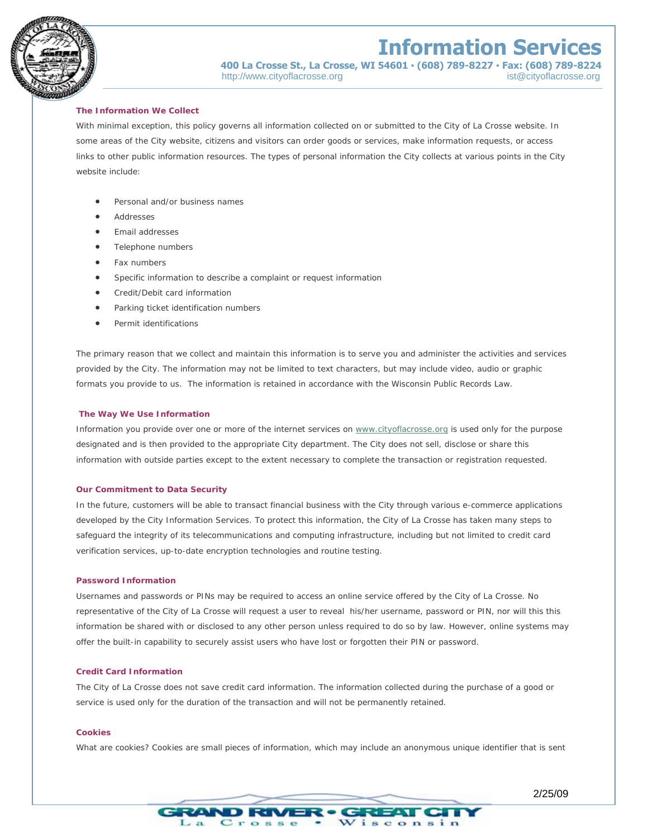



### **400 La Crosse St., La Crosse, WI 54601 ▪ (608) 789-8227 ▪ Fax: (608) 789-8224**

http://www.cityoflacrosse.org ist@cityoflacrosse.org ist@cityoflacrosse.org

#### **The Information We Collect**

With minimal exception, this policy governs all information collected on or submitted to the City of La Crosse website. In some areas of the City website, citizens and visitors can order goods or services, make information requests, or access links to other public information resources. The types of personal information the City collects at various points in the City website include:

- Personal and/or business names
- Addresses
- Email addresses
- Telephone numbers
- Fax numbers
- Specific information to describe a complaint or request information
- Credit/Debit card information
- Parking ticket identification numbers
- Permit identifications

The primary reason that we collect and maintain this information is to serve you and administer the activities and services provided by the City. The information may not be limited to text characters, but may include video, audio or graphic formats you provide to us. The information is retained in accordance with the Wisconsin Public Records Law.

#### **The Way We Use Information**

Information you provide over one or more of the internet services on [www.cityoflacrosse.org](http://www.cityoflacrosse.org/) is used only for the purpose designated and is then provided to the appropriate City department. The City does not sell, disclose or share this information with outside parties except to the extent necessary to complete the transaction or registration requested.

#### **Our Commitment to Data Security**

In the future, customers will be able to transact financial business with the City through various e-commerce applications developed by the City Information Services. To protect this information, the City of La Crosse has taken many steps to safeguard the integrity of its telecommunications and computing infrastructure, including but not limited to credit card verification services, up-to-date encryption technologies and routine testing.

#### **Password Information**

Usernames and passwords or PINs may be required to access an online service offered by the City of La Crosse. No representative of the City of La Crosse will request a user to reveal his/her username, password or PIN, nor will this this information be shared with or disclosed to any other person unless required to do so by law. However, online systems may offer the built-in capability to securely assist users who have lost or forgotten their PIN or password.

#### **Credit Card Information**

The City of La Crosse does not save credit card information. The information collected during the purchase of a good or service is used only for the duration of the transaction and will not be permanently retained.

#### **Cookies**

What are cookies? Cookies are small pieces of information, which may include an anonymous unique identifier that is sent

œ

FI EATT

isconsin

**B-COV** 

 $C$ rosse